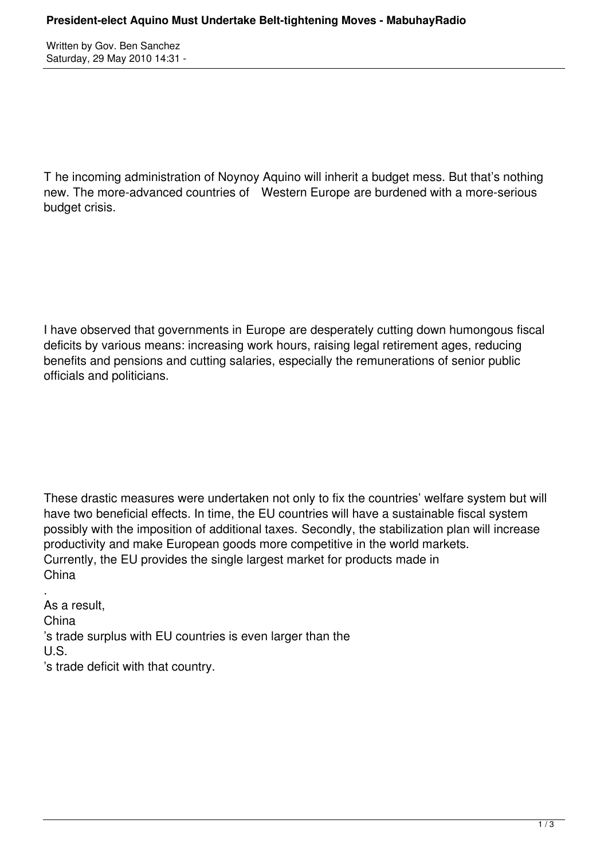Written by Gov. Ben Sanchez Saturday, 29 May 2010 14:31 -

T he incoming administration of Noynoy Aquino will inherit a budget mess. But that's nothing new. The more-advanced countries of Western Europe are burdened with a more-serious budget crisis.

I have observed that governments in Europe are desperately cutting down humongous fiscal deficits by various means: increasing work hours, raising legal retirement ages, reducing benefits and pensions and cutting salaries, especially the remunerations of senior public officials and politicians.

These drastic measures were undertaken not only to fix the countries' welfare system but will have two beneficial effects. In time, the EU countries will have a sustainable fiscal system possibly with the imposition of additional taxes. Secondly, the stabilization plan will increase productivity and make European goods more competitive in the world markets. Currently, the EU provides the single largest market for products made in China

. As a result, China 's trade surplus with EU countries is even larger than the U.S. 's trade deficit with that country.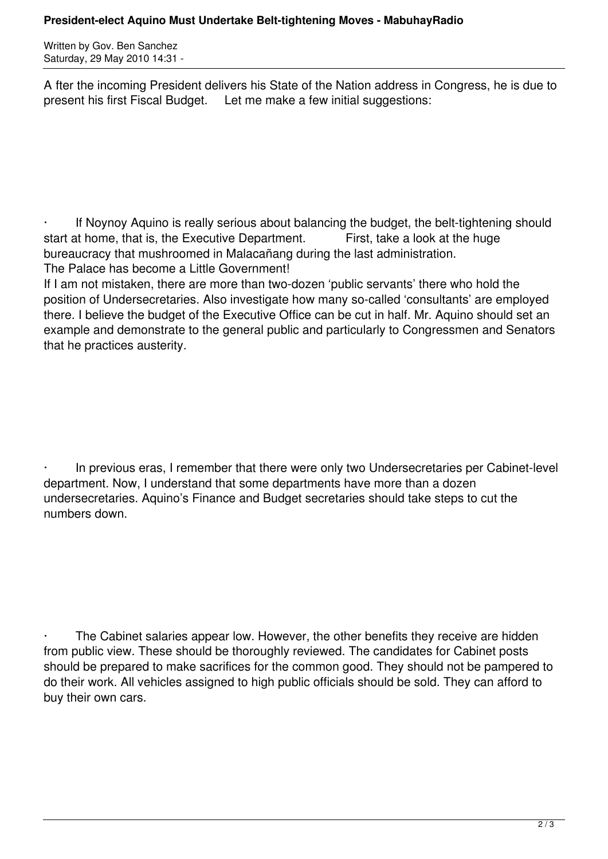## **President-elect Aquino Must Undertake Belt-tightening Moves - MabuhayRadio**

Written by Gov. Ben Sanchez Saturday, 29 May 2010 14:31 -

A fter the incoming President delivers his State of the Nation address in Congress, he is due to present his first Fiscal Budget. Let me make a few initial suggestions:

If Noynoy Aquino is really serious about balancing the budget, the belt-tightening should start at home, that is, the Executive Department. First, take a look at the huge bureaucracy that mushroomed in Malacañang during the last administration. The Palace has become a Little Government!

If I am not mistaken, there are more than two-dozen 'public servants' there who hold the position of Undersecretaries. Also investigate how many so-called 'consultants' are employed there. I believe the budget of the Executive Office can be cut in half. Mr. Aquino should set an example and demonstrate to the general public and particularly to Congressmen and Senators that he practices austerity.

In previous eras, I remember that there were only two Undersecretaries per Cabinet-level department. Now, I understand that some departments have more than a dozen undersecretaries. Aquino's Finance and Budget secretaries should take steps to cut the numbers down.

The Cabinet salaries appear low. However, the other benefits they receive are hidden from public view. These should be thoroughly reviewed. The candidates for Cabinet posts should be prepared to make sacrifices for the common good. They should not be pampered to do their work. All vehicles assigned to high public officials should be sold. They can afford to buy their own cars.